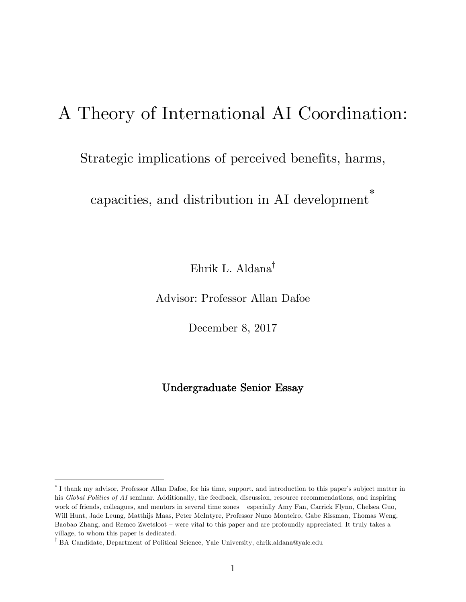# A Theory of International AI Coordination:

## Strategic implications of perceived benefits, harms,

capacities, and distribution in AI development \*

Ehrik L. Aldana†

Advisor: Professor Allan Dafoe

December 8, 2017

## Undergraduate Senior Essay

 $\overline{a}$ 

<sup>\*</sup> I thank my advisor, Professor Allan Dafoe, for his time, support, and introduction to this paper's subject matter in his *Global Politics of AI* seminar. Additionally, the feedback, discussion, resource recommendations, and inspiring work of friends, colleagues, and mentors in several time zones – especially Amy Fan, Carrick Flynn, Chelsea Guo, Will Hunt, Jade Leung, Matthijs Maas, Peter McIntyre, Professor Nuno Monteiro, Gabe Rissman, Thomas Weng, Baobao Zhang, and Remco Zwetsloot – were vital to this paper and are profoundly appreciated. It truly takes a village, to whom this paper is dedicated.

<sup>†</sup> BA Candidate, Department of Political Science, Yale University, ehrik.aldana@yale.edu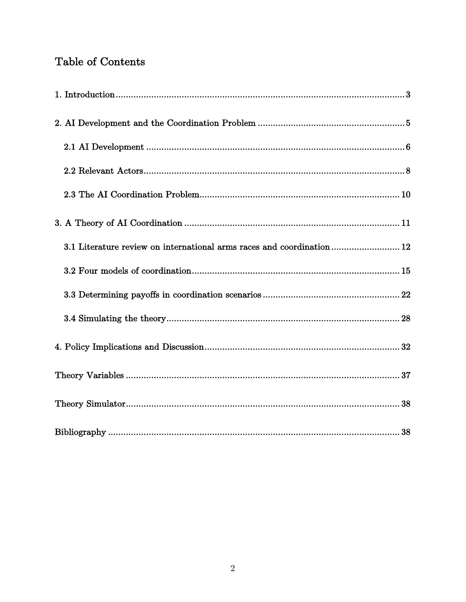## Table of Contents

| 3.1 Literature review on international arms races and coordination 12 |
|-----------------------------------------------------------------------|
|                                                                       |
|                                                                       |
|                                                                       |
|                                                                       |
|                                                                       |
|                                                                       |
|                                                                       |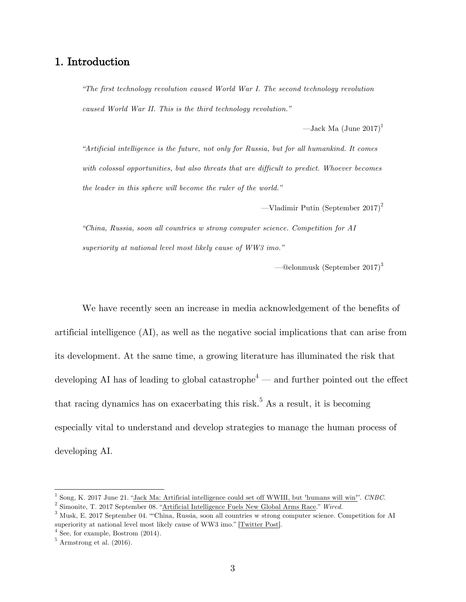## 1. Introduction

*"The first technology revolution caused World War I. The second technology revolution caused World War II. This is the third technology revolution."*

—Jack Ma  $\left(\text{June } 2017\right)^1$ 

*"Artificial intelligence is the future, not only for Russia, but for all humankind. It comes with colossal opportunities, but also threats that are difficult to predict. Whoever becomes the leader in this sphere will become the ruler of the world."*

—Vladimir Putin (September 2017) 2

*"China, Russia, soon all countries w strong computer science. Competition for AI superiority at national level most likely cause of WW3 imo."*

—@elonmusk (September 2017) 3

We have recently seen an increase in media acknowledgement of the benefits of artificial intelligence (AI), as well as the negative social implications that can arise from its development. At the same time, a growing literature has illuminated the risk that developing AI has of leading to global catastrophe<sup>4</sup> — and further pointed out the effect that racing dynamics has on exacerbating this risk.<sup>5</sup> As a result, it is becoming especially vital to understand and develop strategies to manage the human process of developing AI.

<sup>1</sup> Song, K. 2017 June 21. "Jack Ma: Artificial intelligence could set off WWIII, but 'humans will win'". *CNBC*. 2 Simonite, T. 2017 September 08. "Artificial Intelligence Fuels New Global Arms Race." *Wired*.

<sup>3</sup> Musk, E. 2017 September 04. ""China, Russia, soon all countries w strong computer science. Competition for AI superiority at national level most likely cause of WW3 imo." [Twitter Post].

 $4$  See, for example, Bostrom  $(2014)$ .

 $^5$  Armstrong et al. (2016).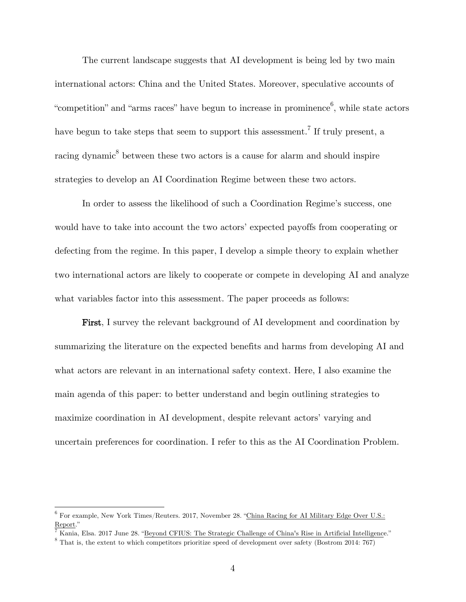The current landscape suggests that AI development is being led by two main international actors: China and the United States. Moreover, speculative accounts of "competition" and "arms races" have begun to increase in prominence<sup>6</sup>, while state actors have begun to take steps that seem to support this assessment.<sup>7</sup> If truly present, a racing dynamic $\delta$  between these two actors is a cause for alarm and should inspire strategies to develop an AI Coordination Regime between these two actors.

In order to assess the likelihood of such a Coordination Regime's success, one would have to take into account the two actors' expected payoffs from cooperating or defecting from the regime. In this paper, I develop a simple theory to explain whether two international actors are likely to cooperate or compete in developing AI and analyze what variables factor into this assessment. The paper proceeds as follows:

First, I survey the relevant background of AI development and coordination by summarizing the literature on the expected benefits and harms from developing AI and what actors are relevant in an international safety context. Here, I also examine the main agenda of this paper: to better understand and begin outlining strategies to maximize coordination in AI development, despite relevant actors' varying and uncertain preferences for coordination. I refer to this as the AI Coordination Problem.

<sup>6</sup> For example, New York Times/Reuters. 2017, November 28. "China Racing for AI Military Edge Over U.S.: Report."

<sup>7</sup> Kania, Elsa. 2017 June 28. "Beyond CFIUS: The Strategic Challenge of China's Rise in Artificial Intelligence."

<sup>&</sup>lt;sup>8</sup> That is, the extent to which competitors prioritize speed of development over safety (Bostrom 2014: 767)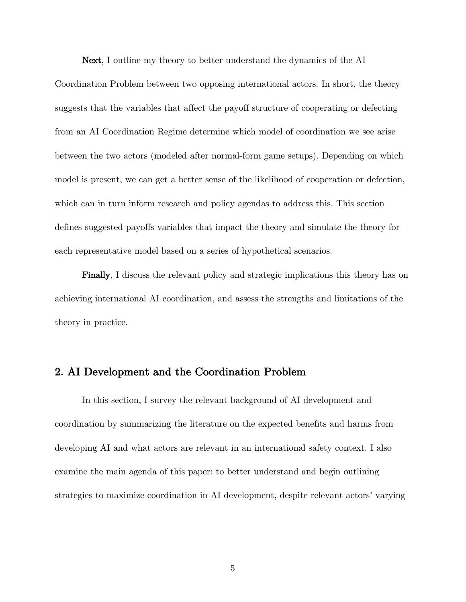Next, I outline my theory to better understand the dynamics of the AI

Coordination Problem between two opposing international actors. In short, the theory suggests that the variables that affect the payoff structure of cooperating or defecting from an AI Coordination Regime determine which model of coordination we see arise between the two actors (modeled after normal-form game setups). Depending on which model is present, we can get a better sense of the likelihood of cooperation or defection, which can in turn inform research and policy agendas to address this. This section defines suggested payoffs variables that impact the theory and simulate the theory for each representative model based on a series of hypothetical scenarios.

Finally, I discuss the relevant policy and strategic implications this theory has on achieving international AI coordination, and assess the strengths and limitations of the theory in practice.

## 2. AI Development and the Coordination Problem

In this section, I survey the relevant background of AI development and coordination by summarizing the literature on the expected benefits and harms from developing AI and what actors are relevant in an international safety context. I also examine the main agenda of this paper: to better understand and begin outlining strategies to maximize coordination in AI development, despite relevant actors' varying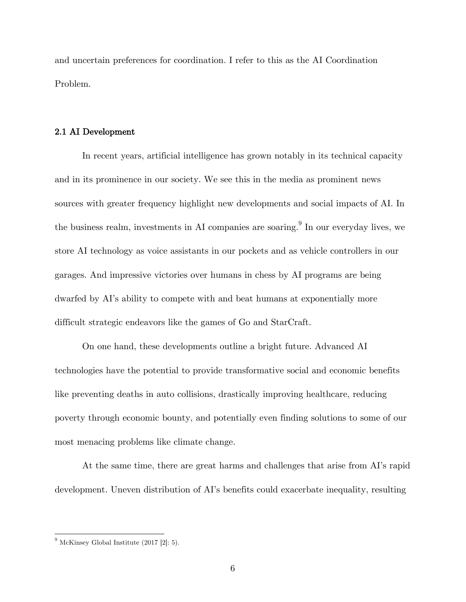and uncertain preferences for coordination. I refer to this as the AI Coordination Problem.

#### 2.1 AI Development

In recent years, artificial intelligence has grown notably in its technical capacity and in its prominence in our society. We see this in the media as prominent news sources with greater frequency highlight new developments and social impacts of AI. In the business realm, investments in AI companies are soaring.<sup>9</sup> In our everyday lives, we store AI technology as voice assistants in our pockets and as vehicle controllers in our garages. And impressive victories over humans in chess by AI programs are being dwarfed by AI's ability to compete with and beat humans at exponentially more difficult strategic endeavors like the games of Go and StarCraft.

On one hand, these developments outline a bright future. Advanced AI technologies have the potential to provide transformative social and economic benefits like preventing deaths in auto collisions, drastically improving healthcare, reducing poverty through economic bounty, and potentially even finding solutions to some of our most menacing problems like climate change.

At the same time, there are great harms and challenges that arise from AI's rapid development. Uneven distribution of AI's benefits could exacerbate inequality, resulting

 $<sup>9</sup>$  McKinsey Global Institute (2017 [2]: 5).</sup>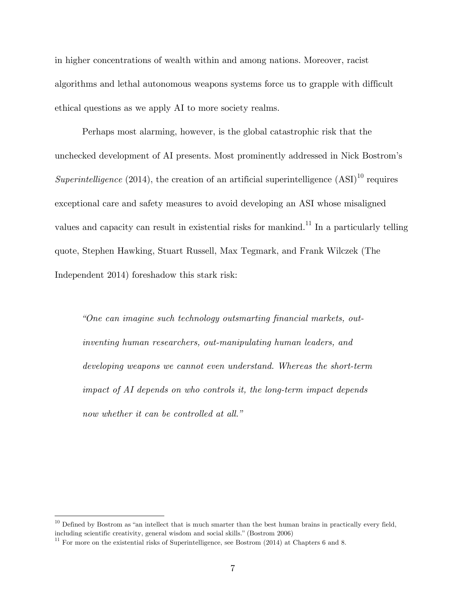in higher concentrations of wealth within and among nations. Moreover, racist algorithms and lethal autonomous weapons systems force us to grapple with difficult ethical questions as we apply AI to more society realms.

Perhaps most alarming, however, is the global catastrophic risk that the unchecked development of AI presents. Most prominently addressed in Nick Bostrom's *Superintelligence* (2014), the creation of an artificial superintelligence  $(ASI)^{10}$  requires exceptional care and safety measures to avoid developing an ASI whose misaligned values and capacity can result in existential risks for mankind.<sup>11</sup> In a particularly telling quote, Stephen Hawking, Stuart Russell, Max Tegmark, and Frank Wilczek (The Independent 2014) foreshadow this stark risk:

*"One can imagine such technology outsmarting financial markets, outinventing human researchers, out-manipulating human leaders, and developing weapons we cannot even understand. Whereas the short-term impact of AI depends on who controls it, the long-term impact depends now whether it can be controlled at all."*

 $10$  Defined by Bostrom as "an intellect that is much smarter than the best human brains in practically every field, including scientific creativity, general wisdom and social skills." (Bostrom 2006)<br><sup>11</sup> For more on the existential risks of Superintelligence, see Bostrom (2014) at Chapters 6 and 8.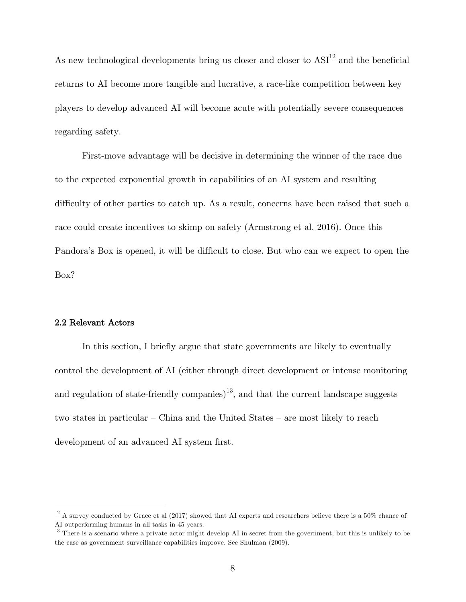As new technological developments bring us closer and closer to  $\text{ASI}^{12}$  and the beneficial returns to AI become more tangible and lucrative, a race-like competition between key players to develop advanced AI will become acute with potentially severe consequences regarding safety.

First-move advantage will be decisive in determining the winner of the race due to the expected exponential growth in capabilities of an AI system and resulting difficulty of other parties to catch up. As a result, concerns have been raised that such a race could create incentives to skimp on safety (Armstrong et al. 2016). Once this Pandora's Box is opened, it will be difficult to close. But who can we expect to open the Box?

#### 2.2 Relevant Actors

In this section, I briefly argue that state governments are likely to eventually control the development of AI (either through direct development or intense monitoring and regulation of state-friendly companies)<sup>13</sup>, and that the current landscape suggests two states in particular – China and the United States – are most likely to reach development of an advanced AI system first.

 $12$  A survey conducted by Grace et al (2017) showed that AI experts and researchers believe there is a 50% chance of AI outperforming humans in all tasks in 45 years.

<sup>&</sup>lt;sup>13</sup> There is a scenario where a private actor might develop AI in secret from the government, but this is unlikely to be the case as government surveillance capabilities improve. See Shulman (2009).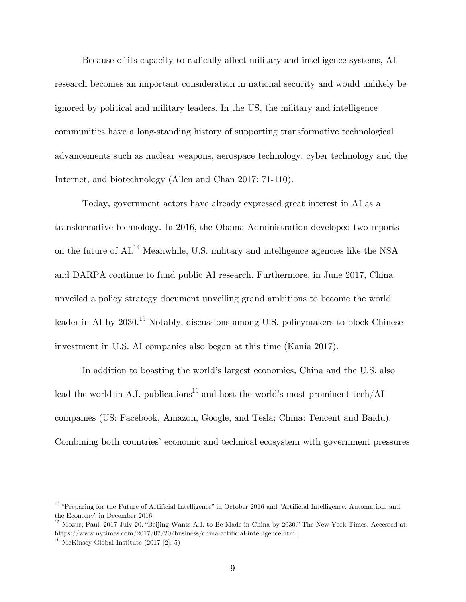Because of its capacity to radically affect military and intelligence systems, AI research becomes an important consideration in national security and would unlikely be ignored by political and military leaders. In the US, the military and intelligence communities have a long-standing history of supporting transformative technological advancements such as nuclear weapons, aerospace technology, cyber technology and the Internet, and biotechnology (Allen and Chan 2017: 71-110).

Today, government actors have already expressed great interest in AI as a transformative technology. In 2016, the Obama Administration developed two reports on the future of  $AI.^{14}$  Meanwhile, U.S. military and intelligence agencies like the NSA and DARPA continue to fund public AI research. Furthermore, in June 2017, China unveiled a policy strategy document unveiling grand ambitions to become the world leader in AI by 2030.<sup>15</sup> Notably, discussions among U.S. policymakers to block Chinese investment in U.S. AI companies also began at this time (Kania 2017).

In addition to boasting the world's largest economies, China and the U.S. also lead the world in A.I. publications<sup>16</sup> and host the world's most prominent tech/AI companies (US: Facebook, Amazon, Google, and Tesla; China: Tencent and Baidu). Combining both countries' economic and technical ecosystem with government pressures

<sup>&</sup>lt;sup>14</sup> "Preparing for the Future of Artificial Intelligence" in October 2016 and "Artificial Intelligence, Automation, and the Economy" in December 2016.

 $\overline{^{15}$  Mozur, Paul. 2017 July 20. "Beijing Wants A.I. to Be Made in China by 2030." The New York Times. Accessed at:  $\rm{https://www.nytimes.com/2017/07/20/business/china-artificial-intelligence.html}$ 

 $16$  McKinsey Global Institute (2017 [2]: 5)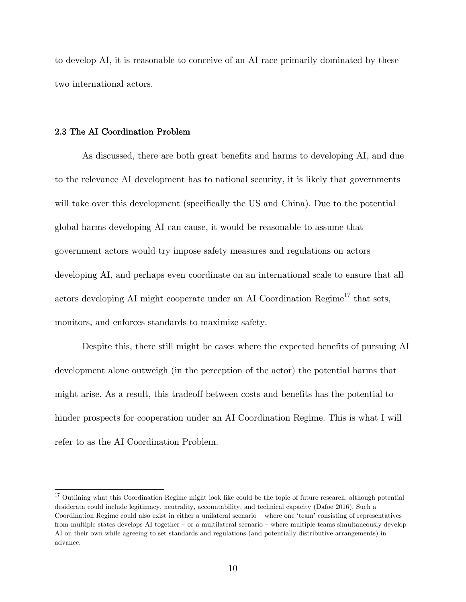to develop AI, it is reasonable to conceive of an AI race primarily dominated by these two international actors.

#### 2.3 The AI Coordination Problem

As discussed, there are both great benefits and harms to developing AI, and due to the relevance AI development has to national security, it is likely that governments will take over this development (specifically the US and China). Due to the potential global harms developing AI can cause, it would be reasonable to assume that government actors would try impose safety measures and regulations on actors developing AI, and perhaps even coordinate on an international scale to ensure that all actors developing AI might cooperate under an AI Coordination  $\text{Regime}^{17}$  that sets, monitors, and enforces standards to maximize safety.

Despite this, there still might be cases where the expected benefits of pursuing AI development alone outweigh (in the perception of the actor) the potential harms that might arise. As a result, this tradeoff between costs and benefits has the potential to hinder prospects for cooperation under an AI Coordination Regime. This is what I will refer to as the AI Coordination Problem.

 $17$  Outlining what this Coordination Regime might look like could be the topic of future research, although potential desiderata could include legitimacy, neutrality, accountability, and technical capacity (Dafoe 2016). Such a Coordination Regime could also exist in either a unilateral scenario – where one 'team' consisting of representatives from multiple states develops AI together – or a multilateral scenario – where multiple teams simultaneously develop AI on their own while agreeing to set standards and regulations (and potentially distributive arrangements) in advance.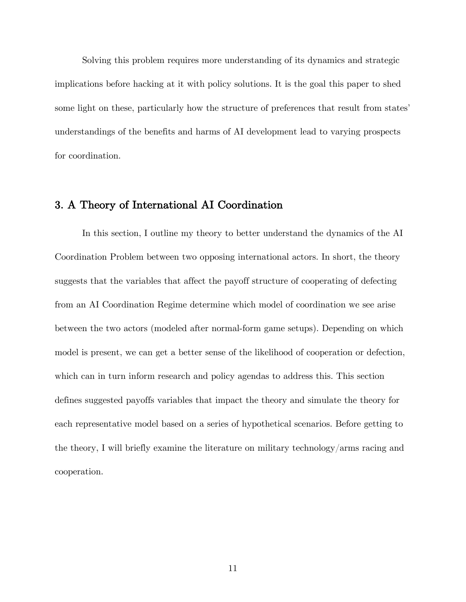Solving this problem requires more understanding of its dynamics and strategic implications before hacking at it with policy solutions. It is the goal this paper to shed some light on these, particularly how the structure of preferences that result from states' understandings of the benefits and harms of AI development lead to varying prospects for coordination.

## 3. A Theory of International AI Coordination

In this section, I outline my theory to better understand the dynamics of the AI Coordination Problem between two opposing international actors. In short, the theory suggests that the variables that affect the payoff structure of cooperating of defecting from an AI Coordination Regime determine which model of coordination we see arise between the two actors (modeled after normal-form game setups). Depending on which model is present, we can get a better sense of the likelihood of cooperation or defection, which can in turn inform research and policy agendas to address this. This section defines suggested payoffs variables that impact the theory and simulate the theory for each representative model based on a series of hypothetical scenarios. Before getting to the theory, I will briefly examine the literature on military technology/arms racing and cooperation.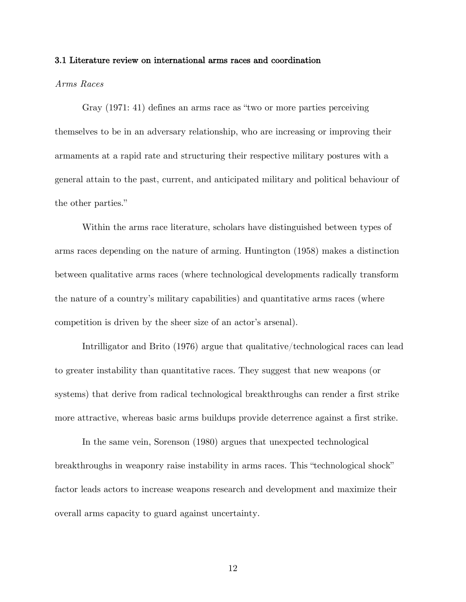#### 3.1 Literature review on international arms races and coordination

#### *Arms Races*

Gray (1971: 41) defines an arms race as "two or more parties perceiving themselves to be in an adversary relationship, who are increasing or improving their armaments at a rapid rate and structuring their respective military postures with a general attain to the past, current, and anticipated military and political behaviour of the other parties."

Within the arms race literature, scholars have distinguished between types of arms races depending on the nature of arming. Huntington (1958) makes a distinction between qualitative arms races (where technological developments radically transform the nature of a country's military capabilities) and quantitative arms races (where competition is driven by the sheer size of an actor's arsenal).

Intrilligator and Brito (1976) argue that qualitative/technological races can lead to greater instability than quantitative races. They suggest that new weapons (or systems) that derive from radical technological breakthroughs can render a first strike more attractive, whereas basic arms buildups provide deterrence against a first strike.

In the same vein, Sorenson (1980) argues that unexpected technological breakthroughs in weaponry raise instability in arms races. This "technological shock" factor leads actors to increase weapons research and development and maximize their overall arms capacity to guard against uncertainty.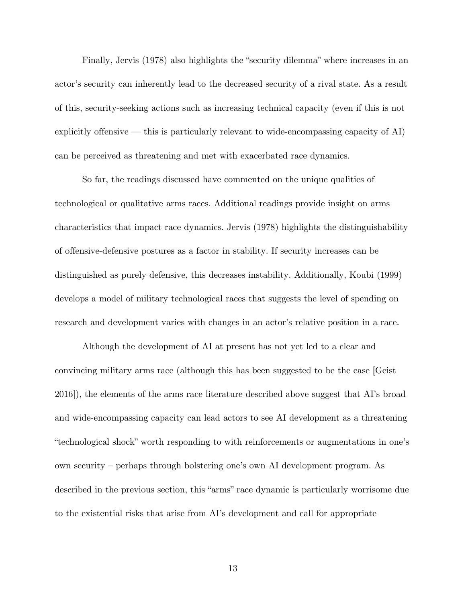Finally, Jervis (1978) also highlights the "security dilemma" where increases in an actor's security can inherently lead to the decreased security of a rival state. As a result of this, security-seeking actions such as increasing technical capacity (even if this is not explicitly offensive — this is particularly relevant to wide-encompassing capacity of AI) can be perceived as threatening and met with exacerbated race dynamics.

So far, the readings discussed have commented on the unique qualities of technological or qualitative arms races. Additional readings provide insight on arms characteristics that impact race dynamics. Jervis (1978) highlights the distinguishability of offensive-defensive postures as a factor in stability. If security increases can be distinguished as purely defensive, this decreases instability. Additionally, Koubi (1999) develops a model of military technological races that suggests the level of spending on research and development varies with changes in an actor's relative position in a race.

Although the development of AI at present has not yet led to a clear and convincing military arms race (although this has been suggested to be the case [Geist 2016]), the elements of the arms race literature described above suggest that AI's broad and wide-encompassing capacity can lead actors to see AI development as a threatening "technological shock" worth responding to with reinforcements or augmentations in one's own security – perhaps through bolstering one's own AI development program. As described in the previous section, this "arms" race dynamic is particularly worrisome due to the existential risks that arise from AI's development and call for appropriate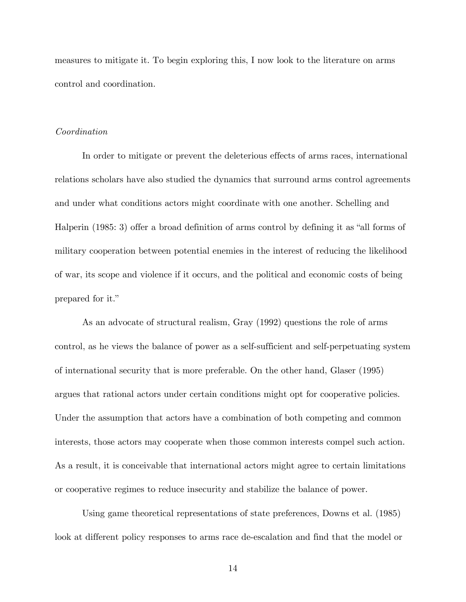measures to mitigate it. To begin exploring this, I now look to the literature on arms control and coordination.

#### *Coordination*

In order to mitigate or prevent the deleterious effects of arms races, international relations scholars have also studied the dynamics that surround arms control agreements and under what conditions actors might coordinate with one another. Schelling and Halperin (1985: 3) offer a broad definition of arms control by defining it as "all forms of military cooperation between potential enemies in the interest of reducing the likelihood of war, its scope and violence if it occurs, and the political and economic costs of being prepared for it."

As an advocate of structural realism, Gray (1992) questions the role of arms control, as he views the balance of power as a self-sufficient and self-perpetuating system of international security that is more preferable. On the other hand, Glaser (1995) argues that rational actors under certain conditions might opt for cooperative policies. Under the assumption that actors have a combination of both competing and common interests, those actors may cooperate when those common interests compel such action. As a result, it is conceivable that international actors might agree to certain limitations or cooperative regimes to reduce insecurity and stabilize the balance of power.

Using game theoretical representations of state preferences, Downs et al. (1985) look at different policy responses to arms race de-escalation and find that the model or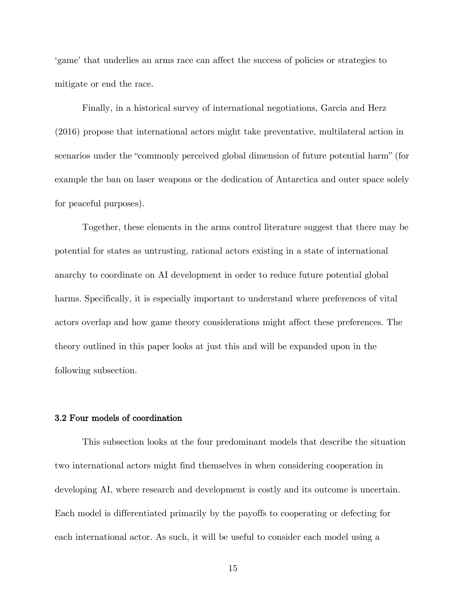'game' that underlies an arms race can affect the success of policies or strategies to mitigate or end the race.

Finally, in a historical survey of international negotiations, Garcia and Herz (2016) propose that international actors might take preventative, multilateral action in scenarios under the "commonly perceived global dimension of future potential harm" (for example the ban on laser weapons or the dedication of Antarctica and outer space solely for peaceful purposes).

Together, these elements in the arms control literature suggest that there may be potential for states as untrusting, rational actors existing in a state of international anarchy to coordinate on AI development in order to reduce future potential global harms. Specifically, it is especially important to understand where preferences of vital actors overlap and how game theory considerations might affect these preferences. The theory outlined in this paper looks at just this and will be expanded upon in the following subsection.

#### 3.2 Four models of coordination

This subsection looks at the four predominant models that describe the situation two international actors might find themselves in when considering cooperation in developing AI, where research and development is costly and its outcome is uncertain. Each model is differentiated primarily by the payoffs to cooperating or defecting for each international actor. As such, it will be useful to consider each model using a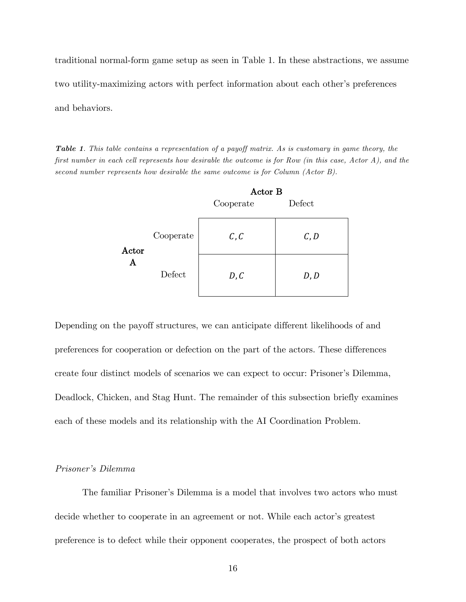traditional normal-form game setup as seen in Table 1. In these abstractions, we assume two utility-maximizing actors with perfect information about each other's preferences and behaviors.

*Table 1. This table contains a representation of a payoff matrix. As is customary in game theory, the first number in each cell represents how desirable the outcome is for Row (in this case, Actor A), and the second number represents how desirable the same outcome is for Column (Actor B).*

|            |           | Actor B   |        |  |  |  |  |
|------------|-----------|-----------|--------|--|--|--|--|
|            |           | Cooperate | Defect |  |  |  |  |
| Actor<br>A | Cooperate | C, C      | C, D   |  |  |  |  |
|            | Defect    | D, C      | D, D   |  |  |  |  |

Depending on the payoff structures, we can anticipate different likelihoods of and preferences for cooperation or defection on the part of the actors. These differences create four distinct models of scenarios we can expect to occur: Prisoner's Dilemma, Deadlock, Chicken, and Stag Hunt. The remainder of this subsection briefly examines each of these models and its relationship with the AI Coordination Problem.

#### *Prisoner's Dilemma*

The familiar Prisoner's Dilemma is a model that involves two actors who must decide whether to cooperate in an agreement or not. While each actor's greatest preference is to defect while their opponent cooperates, the prospect of both actors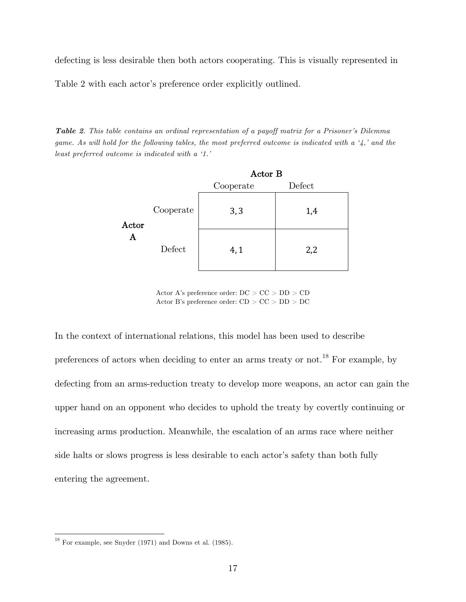defecting is less desirable then both actors cooperating. This is visually represented in

Table 2 with each actor's preference order explicitly outlined.

*Table 2. This table contains an ordinal representation of a payoff matrix for a Prisoner's Dilemma game. As will hold for the following tables, the most preferred outcome is indicated with a '4,' and the least preferred outcome is indicated with a '1.'*

|            |           | Actor B   |        |  |
|------------|-----------|-----------|--------|--|
|            |           | Cooperate | Defect |  |
| Actor<br>A | Cooperate | 3,3       | 1,4    |  |
|            | Defect    | 4,1       | 2,2    |  |

Actor A's preference order:  $\mathrm{DC}>\mathrm{CC}>\mathrm{DD}>\mathrm{CD}$ Actor B's preference order: CD > CC > DD > DC

In the context of international relations, this model has been used to describe preferences of actors when deciding to enter an arms treaty or not.<sup>18</sup> For example, by defecting from an arms-reduction treaty to develop more weapons, an actor can gain the upper hand on an opponent who decides to uphold the treaty by covertly continuing or increasing arms production. Meanwhile, the escalation of an arms race where neither side halts or slows progress is less desirable to each actor's safety than both fully entering the agreement.

 $^{18}$  For example, see Snyder (1971) and Downs et al. (1985).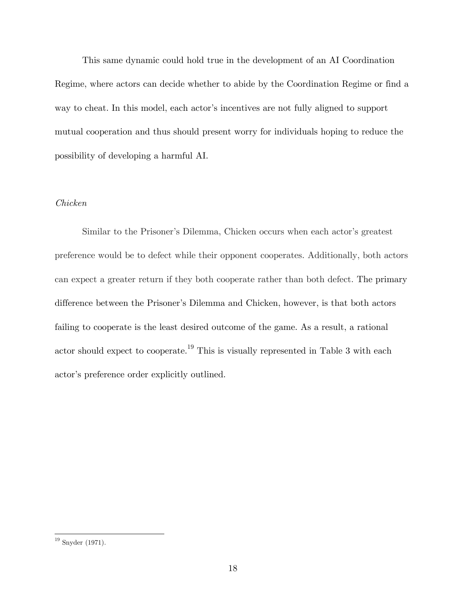This same dynamic could hold true in the development of an AI Coordination Regime, where actors can decide whether to abide by the Coordination Regime or find a way to cheat. In this model, each actor's incentives are not fully aligned to support mutual cooperation and thus should present worry for individuals hoping to reduce the possibility of developing a harmful AI.

#### *Chicken*

Similar to the Prisoner's Dilemma, Chicken occurs when each actor's greatest preference would be to defect while their opponent cooperates. Additionally, both actors can expect a greater return if they both cooperate rather than both defect. The primary difference between the Prisoner's Dilemma and Chicken, however, is that both actors failing to cooperate is the least desired outcome of the game. As a result, a rational actor should expect to cooperate.<sup>19</sup> This is visually represented in Table 3 with each actor's preference order explicitly outlined.

 $^{19}$  Snyder (1971).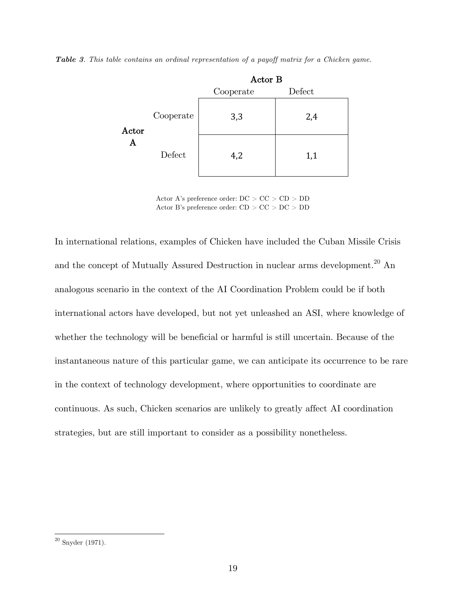*Table 3. This table contains an ordinal representation of a payoff matrix for a Chicken game.*

|            |           | Actor B   |        |  |
|------------|-----------|-----------|--------|--|
|            |           | Cooperate | Defect |  |
| Actor<br>A | Cooperate | 3,3       | 2,4    |  |
|            | Defect    | 4,2       | 1,1    |  |

Actor A's preference order: DC > CC > CD > DD Actor B's preference order: CD > CC > DC > DD

In international relations, examples of Chicken have included the Cuban Missile Crisis and the concept of Mutually Assured Destruction in nuclear arms development.<sup>20</sup> An analogous scenario in the context of the AI Coordination Problem could be if both international actors have developed, but not yet unleashed an ASI, where knowledge of whether the technology will be beneficial or harmful is still uncertain. Because of the instantaneous nature of this particular game, we can anticipate its occurrence to be rare in the context of technology development, where opportunities to coordinate are continuous. As such, Chicken scenarios are unlikely to greatly affect AI coordination strategies, but are still important to consider as a possibility nonetheless.

 $^{\rm 20}$  Snyder (1971).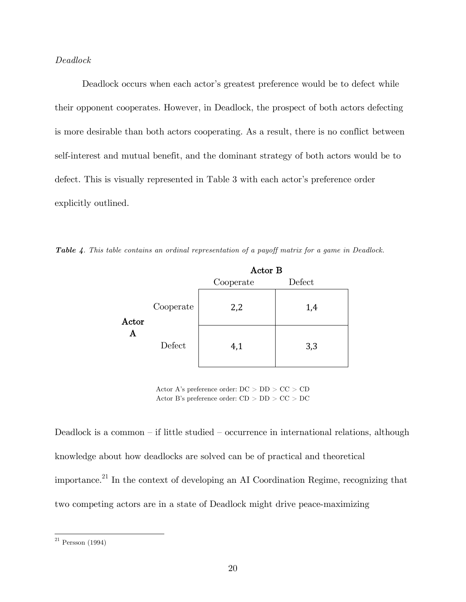#### *Deadlock*

Deadlock occurs when each actor's greatest preference would be to defect while their opponent cooperates. However, in Deadlock, the prospect of both actors defecting is more desirable than both actors cooperating. As a result, there is no conflict between self-interest and mutual benefit, and the dominant strategy of both actors would be to defect. This is visually represented in Table 3 with each actor's preference order explicitly outlined.

|  |  | <b>Table 4.</b> This table contains an ordinal representation of a payoff matrix for a game in Deadlock. |  |  |  |  |
|--|--|----------------------------------------------------------------------------------------------------------|--|--|--|--|
|  |  |                                                                                                          |  |  |  |  |

|            |           | Actor B   |        |  |
|------------|-----------|-----------|--------|--|
|            |           | Cooperate | Defect |  |
| Actor<br>A | Cooperate | 2,2       | 1,4    |  |
|            | Defect    | 4,1       | 3,3    |  |

Actor A's preference order:  $\mathrm{DC}>\mathrm{DD}>\mathrm{CC}>\mathrm{CD}$ Actor B's preference order: CD > DD > CC > DC

Deadlock is a common – if little studied – occurrence in international relations, although knowledge about how deadlocks are solved can be of practical and theoretical importance.<sup>21</sup> In the context of developing an AI Coordination Regime, recognizing that two competing actors are in a state of Deadlock might drive peace-maximizing

 $\ensuremath{^{21}}$  Persson (1994)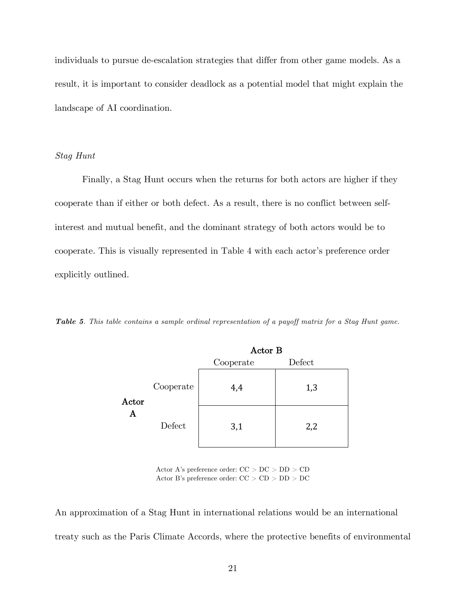individuals to pursue de-escalation strategies that differ from other game models. As a result, it is important to consider deadlock as a potential model that might explain the landscape of AI coordination.

#### *Stag Hunt*

Finally, a Stag Hunt occurs when the returns for both actors are higher if they cooperate than if either or both defect. As a result, there is no conflict between selfinterest and mutual benefit, and the dominant strategy of both actors would be to cooperate. This is visually represented in Table 4 with each actor's preference order explicitly outlined.

*Table 5. This table contains a sample ordinal representation of a payoff matrix for a Stag Hunt game.*

|            |           | Actor B   |        |  |
|------------|-----------|-----------|--------|--|
|            |           | Cooperate | Defect |  |
| Actor<br>Α | Cooperate | 4,4       | 1,3    |  |
|            | Defect    | 3,1       | 2,2    |  |

Actor A's preference order: CC > DC > DD > CD Actor B's preference order:  $\rm CC > \rm CD > \rm DD > \rm DC$ 

An approximation of a Stag Hunt in international relations would be an international treaty such as the Paris Climate Accords, where the protective benefits of environmental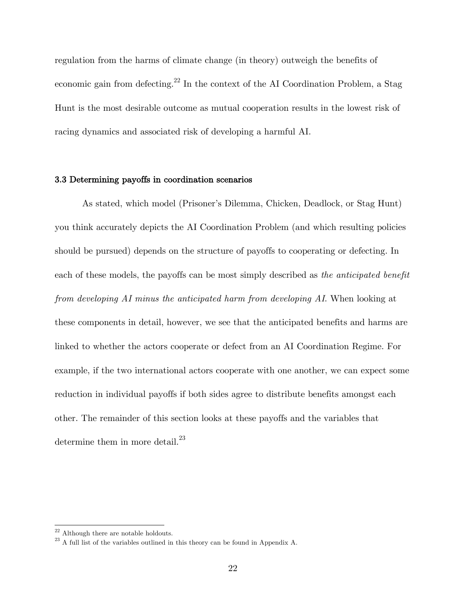regulation from the harms of climate change (in theory) outweigh the benefits of economic gain from defecting.<sup>22</sup> In the context of the AI Coordination Problem, a Stag Hunt is the most desirable outcome as mutual cooperation results in the lowest risk of racing dynamics and associated risk of developing a harmful AI.

#### 3.3 Determining payoffs in coordination scenarios

As stated, which model (Prisoner's Dilemma, Chicken, Deadlock, or Stag Hunt) you think accurately depicts the AI Coordination Problem (and which resulting policies should be pursued) depends on the structure of payoffs to cooperating or defecting. In each of these models, the payoffs can be most simply described as *the anticipated benefit from developing AI minus the anticipated harm from developing AI*. When looking at these components in detail, however, we see that the anticipated benefits and harms are linked to whether the actors cooperate or defect from an AI Coordination Regime. For example, if the two international actors cooperate with one another, we can expect some reduction in individual payoffs if both sides agree to distribute benefits amongst each other. The remainder of this section looks at these payoffs and the variables that determine them in more detail.<sup>23</sup>

 $^{22}$  Although there are notable holdouts.

 $23$  A full list of the variables outlined in this theory can be found in Appendix A.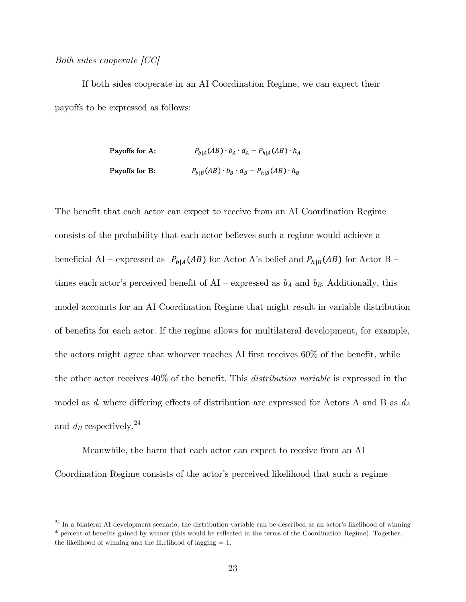#### *Both sides cooperate [CC]*

If both sides cooperate in an AI Coordination Regime, we can expect their payoffs to be expressed as follows:

> Payoffs for A:  $P_{h|A}(AB) \cdot b_A \cdot d_A - P_{h|A}(AB) \cdot h_A$ Payoffs for B:  $P_{b|B}(AB) \cdot b_B \cdot d_B - P_{h|B}(AB) \cdot h_B$

The benefit that each actor can expect to receive from an AI Coordination Regime consists of the probability that each actor believes such a regime would achieve a beneficial AI – expressed as  $P_{b|A}(AB)$  for Actor A's belief and  $P_{b|B}(AB)$  for Actor B – times each actor's perceived benefit of  $AI$  – expressed as  $b_A$  and  $b_B$ . Additionally, this model accounts for an AI Coordination Regime that might result in variable distribution of benefits for each actor. If the regime allows for multilateral development, for example, the actors might agree that whoever reaches AI first receives 60% of the benefit, while the other actor receives 40% of the benefit. This *distribution variable* is expressed in the model as *d*, where differing effects of distribution are expressed for Actors A and B as *dA* and  $d_B$  respectively.<sup>24</sup>

Meanwhile, the harm that each actor can expect to receive from an AI Coordination Regime consists of the actor's perceived likelihood that such a regime

 $24$  In a bilateral AI development scenario, the distribution variable can be described as an actor's likelihood of winning \* percent of benefits gained by winner (this would be reflected in the terms of the Coordination Regime). Together, the likelihood of winning and the likelihood of lagging = 1.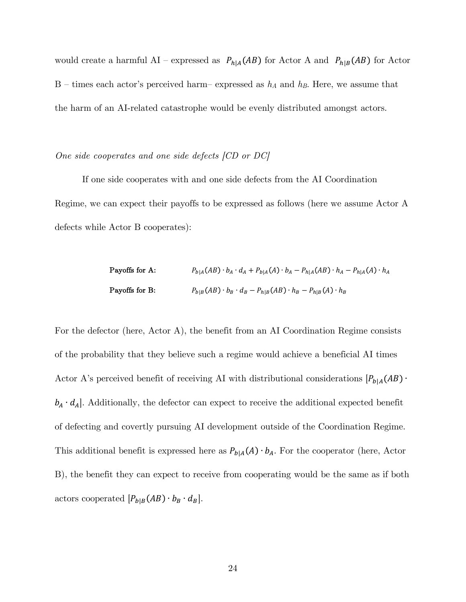would create a harmful AI – expressed as  $P_{h|A}(AB)$  for Actor A and  $P_{h|B}(AB)$  for Actor B – times each actor's perceived harm– expressed as  $h_A$  and  $h_B$ . Here, we assume that the harm of an AI-related catastrophe would be evenly distributed amongst actors.

*One side cooperates and one side defects [CD or DC]*

If one side cooperates with and one side defects from the AI Coordination Regime, we can expect their payoffs to be expressed as follows (here we assume Actor A defects while Actor B cooperates):

Payoffs for A:

\n
$$
P_{b|A}(AB) \cdot b_A \cdot d_A + P_{b|A}(A) \cdot b_A - P_{h|A}(AB) \cdot h_A - P_{h|A}(A) \cdot h_A
$$
\nPayoffs for B:

\n
$$
P_{b|B}(AB) \cdot b_B \cdot d_B - P_{h|B}(AB) \cdot h_B - P_{h|B}(A) \cdot h_B
$$

For the defector (here, Actor A), the benefit from an AI Coordination Regime consists of the probability that they believe such a regime would achieve a beneficial AI times Actor A's perceived benefit of receiving AI with distributional considerations  $[P_{b|A}(AB) \cdot$  $b_A \cdot d_A$ . Additionally, the defector can expect to receive the additional expected benefit of defecting and covertly pursuing AI development outside of the Coordination Regime. This additional benefit is expressed here as  $P_{b|A}(A) \cdot b_A$ . For the cooperator (here, Actor B), the benefit they can expect to receive from cooperating would be the same as if both actors cooperated  $[P_{b|B}(AB)\cdot b_B\cdot d_B].$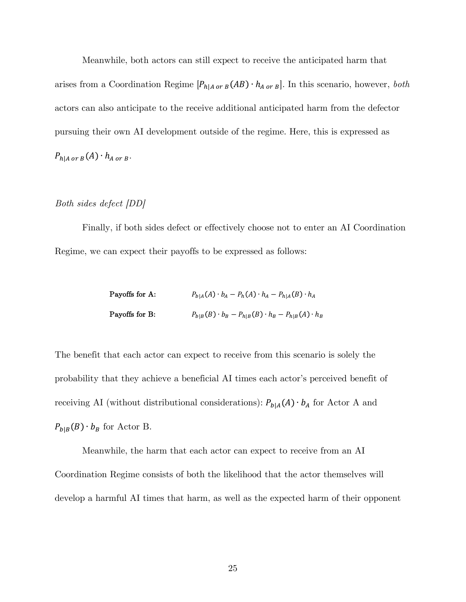Meanwhile, both actors can still expect to receive the anticipated harm that arises from a Coordination Regime  $[P_{h|A \text{ or } B}(AB) \cdot h_{A \text{ or } B}]$ . In this scenario, however, *both* actors can also anticipate to the receive additional anticipated harm from the defector pursuing their own AI development outside of the regime. Here, this is expressed as  $P_{h|A\ or\ B}(A) \cdot h_{A\ or\ B}.$ 

#### *Both sides defect [DD]*

Finally, if both sides defect or effectively choose not to enter an AI Coordination Regime, we can expect their payoffs to be expressed as follows:

| Payoffs for A: | $P_{b A}(A) \cdot b_A - P_h(A) \cdot h_A - P_{h A}(B) \cdot h_A$     |
|----------------|----------------------------------------------------------------------|
| Payoffs for B: | $P_{b B}(B) \cdot b_B - P_{h B}(B) \cdot h_B - P_{h B}(A) \cdot h_B$ |

The benefit that each actor can expect to receive from this scenario is solely the probability that they achieve a beneficial AI times each actor's perceived benefit of receiving AI (without distributional considerations):  $P_{b|A}(A) \cdot b_A$  for Actor A and  $P_{b|B}(B) \cdot b_B$  for Actor B.

Meanwhile, the harm that each actor can expect to receive from an AI Coordination Regime consists of both the likelihood that the actor themselves will develop a harmful AI times that harm, as well as the expected harm of their opponent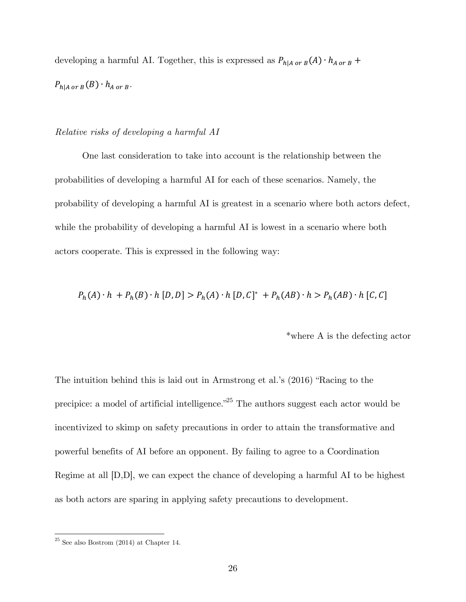developing a harmful AI. Together, this is expressed as  $P_{h|A\; or \; B}(A) \cdot h_{A\; or \; B}$  +  $P_{h|A \text{ or } B}(B) \cdot h_{A \text{ or } B}.$ 

#### *Relative risks of developing a harmful AI*

One last consideration to take into account is the relationship between the probabilities of developing a harmful AI for each of these scenarios. Namely, the probability of developing a harmful AI is greatest in a scenario where both actors defect, while the probability of developing a harmful AI is lowest in a scenario where both actors cooperate. This is expressed in the following way:

$$
P_h(A) \cdot h + P_h(B) \cdot h [D, D] > P_h(A) \cdot h [D, C]^* + P_h(AB) \cdot h > P_h(AB) \cdot h [C, C]
$$

\*where A is the defecting actor

The intuition behind this is laid out in Armstrong et al.'s (2016) "Racing to the precipice: a model of artificial intelligence. $^{25}$  The authors suggest each actor would be incentivized to skimp on safety precautions in order to attain the transformative and powerful benefits of AI before an opponent. By failing to agree to a Coordination Regime at all [D,D], we can expect the chance of developing a harmful AI to be highest as both actors are sparing in applying safety precautions to development.

 $^{\mathrm{25}}$  See also Bostrom (2014) at Chapter 14.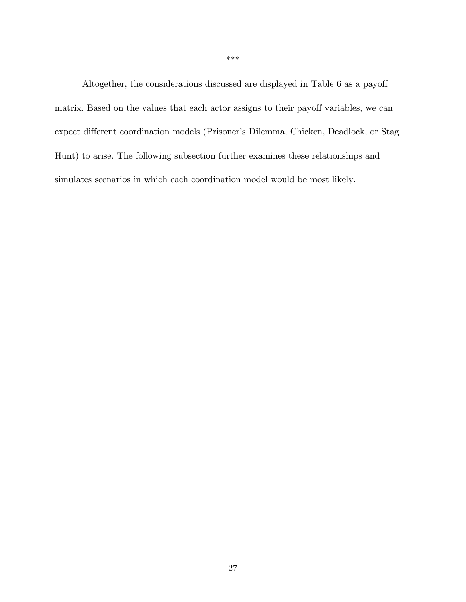Altogether, the considerations discussed are displayed in Table 6 as a payoff matrix. Based on the values that each actor assigns to their payoff variables, we can expect different coordination models (Prisoner's Dilemma, Chicken, Deadlock, or Stag Hunt) to arise. The following subsection further examines these relationships and simulates scenarios in which each coordination model would be most likely.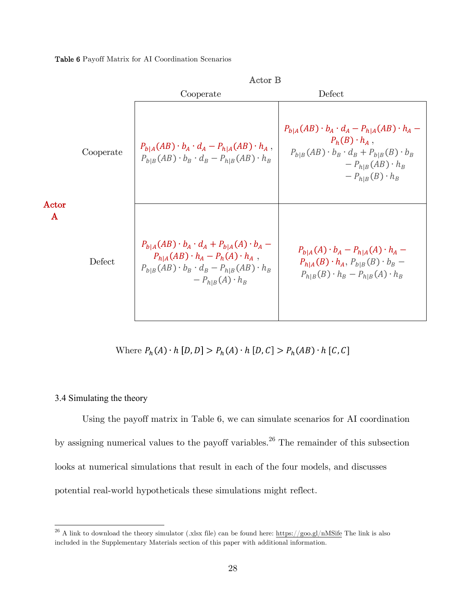Table 6 Payoff Matrix for AI Coordination Scenarios

|                       |           | Actor B                                                                                                                                                                                            |                                                                                                                                                                                                        |
|-----------------------|-----------|----------------------------------------------------------------------------------------------------------------------------------------------------------------------------------------------------|--------------------------------------------------------------------------------------------------------------------------------------------------------------------------------------------------------|
|                       |           | Cooperate                                                                                                                                                                                          | Defect                                                                                                                                                                                                 |
| Actor<br>$\mathbf{A}$ | Cooperate | $P_{b A}(AB) \cdot b_A \cdot d_A - P_{h A}(AB) \cdot h_A$ ,<br>$P_{b B}(AB) \cdot b_B \cdot d_B - P_{h B}(AB) \cdot h_B$                                                                           | $P_{b A}(AB) \cdot b_A \cdot d_A - P_{h A}(AB) \cdot h_A -$<br>$P_h(B) \cdot h_A$ ,<br>$P_{b B}(AB) \cdot b_B \cdot d_B + P_{b B}(B) \cdot b_B$<br>$-P_{h B}(AB) \cdot h_B$<br>$-P_{h B}(B) \cdot h_B$ |
|                       | Defect    | $P_{b A}(AB) \cdot b_A \cdot d_A + P_{b A}(A) \cdot b_A$ –<br>$P_{h A}(AB) \cdot h_A - P_h(A) \cdot h_A$ ,<br>$P_{b B}(AB) \cdot b_B \cdot d_B - P_{h B}(AB) \cdot h_B$<br>$-P_{h B}(A) \cdot h_B$ | $P_{b A}(A) \cdot b_A - P_{h A}(A) \cdot h_A$<br>$P_{h A}(B) \cdot h_A$ , $P_{b B}(B) \cdot b_B$ –<br>$P_{h B}(B) \cdot h_B - P_{h B}(A) \cdot h_B$                                                    |

Where  $P_h(A) \cdot h\left[D,D\right] > P_h(A) \cdot h\left[D,C\right] > P_h(AB) \cdot h\left[C,C\right]$ 

#### 3.4 Simulating the theory

Using the payoff matrix in Table 6, we can simulate scenarios for AI coordination by assigning numerical values to the payoff variables.<sup>26</sup> The remainder of this subsection looks at numerical simulations that result in each of the four models, and discusses potential real-world hypotheticals these simulations might reflect.

<sup>&</sup>lt;sup>26</sup> A link to download the theory simulator (.xlsx file) can be found here: https://goo.gl/nMSife The link is also included in the Supplementary Materials section of this paper with additional information.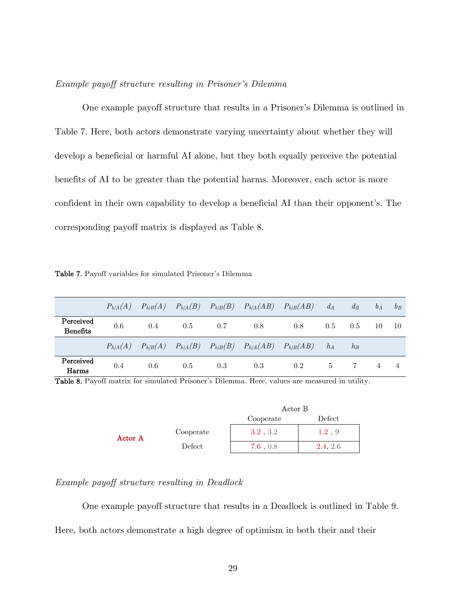#### *Example payoff structure resulting in Prisoner's Dilemma*

One example payoff structure that results in a Prisoner's Dilemma is outlined in Table 7. Here, both actors demonstrate varying uncertainty about whether they will develop a beneficial or harmful AI alone, but they both equally perceive the potential benefits of AI to be greater than the potential harms. Moreover, each actor is more confident in their own capability to develop a beneficial AI than their opponent's. The corresponding payoff matrix is displayed as Table 8.

Table 7. Payoff variables for simulated Prisoner's Dilemma

|                              | $P_{b/A}(A)$ | $P_{b/B}(A)$ $P_{b/A}(B)$ |     | $P_{b/B}(B)$ | $P_{b/A}(AB)$ $P_{b/B}(AB)$                                                     |     | $d_A$   | $d_B$ | $b_A$ | $b_R$ |
|------------------------------|--------------|---------------------------|-----|--------------|---------------------------------------------------------------------------------|-----|---------|-------|-------|-------|
| Perceived<br><b>Benefits</b> | 0.6          | 0.4                       | 0.5 | 0.7          | 0.8                                                                             | 0.8 | $0.5\,$ | 0.5   | 10    | 10    |
|                              |              |                           |     |              | $P_{h/A}(A)$ $P_{h/B}(A)$ $P_{h/A}(B)$ $P_{h/B}(B)$ $P_{h/A}(AB)$ $P_{h/B}(AB)$ |     | $h_A$   | $h_B$ |       |       |
| Perceived<br>Harms           | 0.4          | 0.6                       | 0.5 | 0.3          | 0.3                                                                             | 0.2 | $5 -$   |       |       |       |

Table 8. Payoff matrix for simulated Prisoner's Dilemma. Here, values are measured in utility.

|         |           | Actor B   |           |
|---------|-----------|-----------|-----------|
|         |           | Cooperate | Defect    |
| Actor A | Cooperate | 3.2, 3.2  | $1.2$ , 9 |
|         | Defect.   | 7.6, 0.8  | 2.4.2.6   |

#### *Example payoff structure resulting in Deadlock*

One example payoff structure that results in a Deadlock is outlined in Table 9.

Here, both actors demonstrate a high degree of optimism in both their and their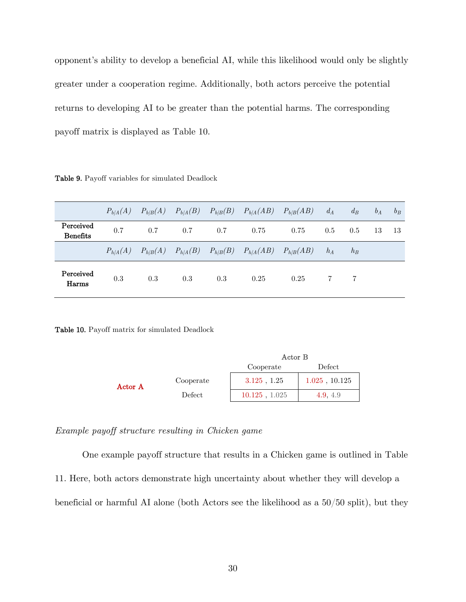opponent's ability to develop a beneficial AI, while this likelihood would only be slightly greater under a cooperation regime. Additionally, both actors perceive the potential returns to developing AI to be greater than the potential harms. The corresponding payoff matrix is displayed as Table 10.

Table 9. Payoff variables for simulated Deadlock

|                              |     |     |     |     |                                                                                 | $P_{b/A}(A)$ $P_{b/B}(A)$ $P_{b/A}(B)$ $P_{b/B}(B)$ $P_{b/A}(AB)$ $P_{b/B}(AB)$ | $d_A$ | $d_B$ | $b_A$ | $b_R$ |
|------------------------------|-----|-----|-----|-----|---------------------------------------------------------------------------------|---------------------------------------------------------------------------------|-------|-------|-------|-------|
| Perceived<br><b>Benefits</b> | 0.7 | 0.7 | 0.7 | 0.7 | 0.75                                                                            | 0.75                                                                            | 0.5   | 0.5   | 13    | -13   |
|                              |     |     |     |     | $P_{h/A}(A)$ $P_{h/B}(A)$ $P_{h/A}(B)$ $P_{h/B}(B)$ $P_{h/A}(AB)$ $P_{h/B}(AB)$ |                                                                                 | $h_A$ | $h_B$ |       |       |
| Perceived<br>Harms           | 0.3 | 0.3 | 0.3 | 0.3 | 0.25                                                                            | 0.25                                                                            |       |       |       |       |

Table 10. Payoff matrix for simulated Deadlock

|         |           |                     | Actor B            |  |  |
|---------|-----------|---------------------|--------------------|--|--|
|         |           | Defect<br>Cooperate |                    |  |  |
| Actor A | Cooperate | $3.125$ , $1.25$    | $1.025$ , $10.125$ |  |  |
|         | Defect    | $10.125$ , $1.025$  | 4.9.4.9            |  |  |

*Example payoff structure resulting in Chicken game*

One example payoff structure that results in a Chicken game is outlined in Table 11. Here, both actors demonstrate high uncertainty about whether they will develop a beneficial or harmful AI alone (both Actors see the likelihood as a 50/50 split), but they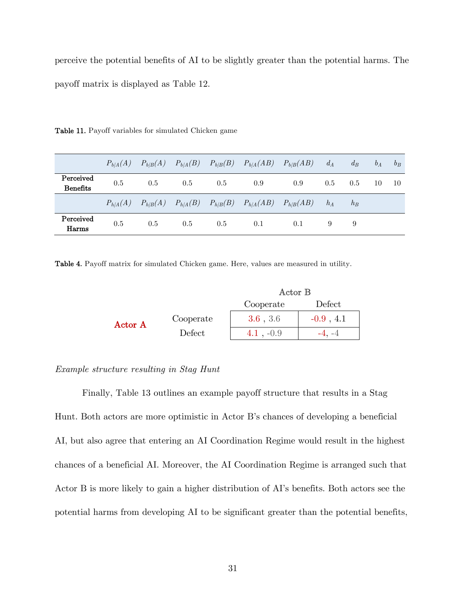perceive the potential benefits of AI to be slightly greater than the potential harms. The payoff matrix is displayed as Table 12.

|                              |     |     |     |     | $P_{b/A}(A)$ $P_{b/B}(A)$ $P_{b/A}(B)$ $P_{b/B}(B)$ $P_{b/A}(AB)$ $P_{b/B}(AB)$ |     | $d_A$ | $d_B$ | $b_A$ | $b_R$ |
|------------------------------|-----|-----|-----|-----|---------------------------------------------------------------------------------|-----|-------|-------|-------|-------|
| Perceived<br><b>Benefits</b> | 0.5 | 0.5 | 0.5 | 0.5 | 0.9                                                                             | 0.9 | 0.5   | 0.5   | 10    | -10   |
|                              |     |     |     |     | $P_{h/A}(A)$ $P_{h/B}(A)$ $P_{h/A}(B)$ $P_{h/B}(B)$ $P_{h/A}(AB)$ $P_{h/B}(AB)$ |     | $h_A$ | $h_B$ |       |       |
| Perceived<br>Harms           | 0.5 | 0.5 | 0.5 | 0.5 | 0.1                                                                             | 0.1 |       | 9     |       |       |

Table 11. Payoff variables for simulated Chicken game

Table 4. Payoff matrix for simulated Chicken game. Here, values are measured in utility.

|         |           | Actor B     |              |  |
|---------|-----------|-------------|--------------|--|
|         |           | Cooperate   | Defect       |  |
| Actor A | Cooperate | 3.6, 3.6    | $-0.9$ , 4.1 |  |
|         | Defect    | $4.1, -0.9$ |              |  |

#### *Example structure resulting in Stag Hunt*

Finally, Table 13 outlines an example payoff structure that results in a Stag Hunt. Both actors are more optimistic in Actor B's chances of developing a beneficial AI, but also agree that entering an AI Coordination Regime would result in the highest chances of a beneficial AI. Moreover, the AI Coordination Regime is arranged such that Actor B is more likely to gain a higher distribution of AI's benefits. Both actors see the potential harms from developing AI to be significant greater than the potential benefits,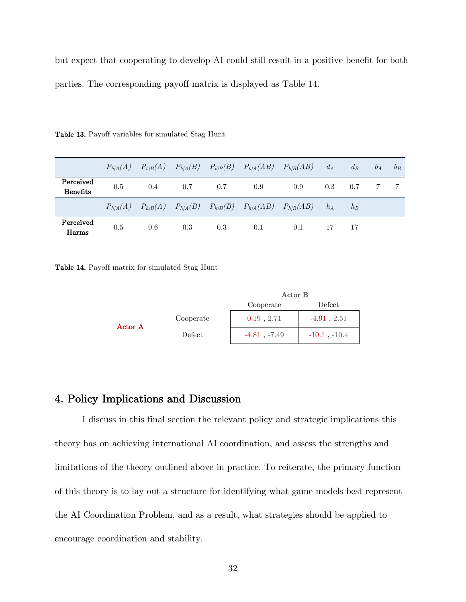but expect that cooperating to develop AI could still result in a positive benefit for both parties. The corresponding payoff matrix is displayed as Table 14.

|                              |     |     |     |      | $P_{b/A}(A)$ $P_{b/B}(A)$ $P_{b/A}(B)$ $P_{b/B}(B)$ $P_{b/A}(AB)$ $P_{b/B}(AB)$ |     | $d_A$ | $d_B$ | $b_A$ | $b_R$ |
|------------------------------|-----|-----|-----|------|---------------------------------------------------------------------------------|-----|-------|-------|-------|-------|
| Perceived<br><b>Benefits</b> | 0.5 | 0.4 | 0.7 | -0.7 | 0.9                                                                             | 0.9 | 0.3   | 0.7   |       |       |
|                              |     |     |     |      | $P_{h/A}(A)$ $P_{h/B}(A)$ $P_{h/A}(B)$ $P_{h/B}(B)$ $P_{h/A}(AB)$ $P_{h/B}(AB)$ |     | $h_A$ | $h_B$ |       |       |
| Perceived<br>Harms           | 0.5 | 0.6 | 0.3 | 0.3  | 0.1                                                                             | 0.1 |       | 17    |       |       |

Table 13. Payoff variables for simulated Stag Hunt

Table 14. Payoff matrix for simulated Stag Hunt

|         |           | Actor B             |                   |  |
|---------|-----------|---------------------|-------------------|--|
|         |           | Defect<br>Cooperate |                   |  |
| Actor A | Cooperate | $0.19$ , 2.71       | $-4.91, 2.51$     |  |
|         | Defect    | $-4.81$ , $-7.49$   | $-10.1$ , $-10.4$ |  |

## 4. Policy Implications and Discussion

I discuss in this final section the relevant policy and strategic implications this theory has on achieving international AI coordination, and assess the strengths and limitations of the theory outlined above in practice. To reiterate, the primary function of this theory is to lay out a structure for identifying what game models best represent the AI Coordination Problem, and as a result, what strategies should be applied to encourage coordination and stability.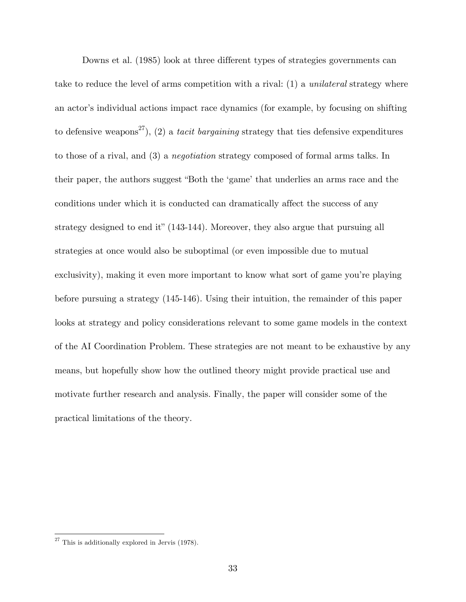Downs et al. (1985) look at three different types of strategies governments can take to reduce the level of arms competition with a rival: (1) a *unilateral* strategy where an actor's individual actions impact race dynamics (for example, by focusing on shifting to defensive weapons<sup>27</sup>), (2) a *tacit bargaining* strategy that ties defensive expenditures to those of a rival, and (3) a *negotiation* strategy composed of formal arms talks. In their paper, the authors suggest "Both the 'game' that underlies an arms race and the conditions under which it is conducted can dramatically affect the success of any strategy designed to end it" (143-144). Moreover, they also argue that pursuing all strategies at once would also be suboptimal (or even impossible due to mutual exclusivity), making it even more important to know what sort of game you're playing before pursuing a strategy (145-146). Using their intuition, the remainder of this paper looks at strategy and policy considerations relevant to some game models in the context of the AI Coordination Problem. These strategies are not meant to be exhaustive by any means, but hopefully show how the outlined theory might provide practical use and motivate further research and analysis. Finally, the paper will consider some of the practical limitations of the theory.

 $27$  This is additionally explored in Jervis (1978).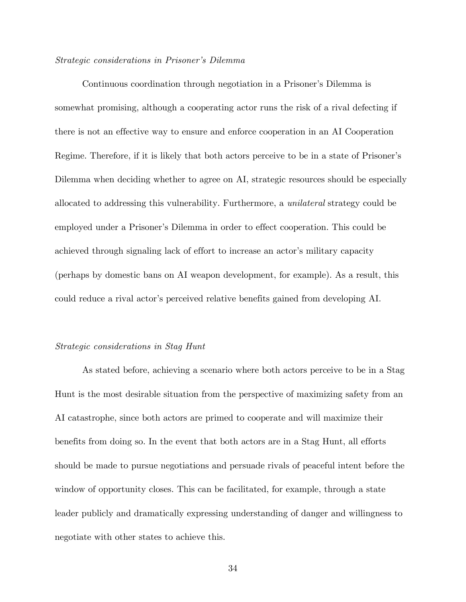#### *Strategic considerations in Prisoner's Dilemma*

Continuous coordination through negotiation in a Prisoner's Dilemma is somewhat promising, although a cooperating actor runs the risk of a rival defecting if there is not an effective way to ensure and enforce cooperation in an AI Cooperation Regime. Therefore, if it is likely that both actors perceive to be in a state of Prisoner's Dilemma when deciding whether to agree on AI, strategic resources should be especially allocated to addressing this vulnerability. Furthermore, a *unilateral* strategy could be employed under a Prisoner's Dilemma in order to effect cooperation. This could be achieved through signaling lack of effort to increase an actor's military capacity (perhaps by domestic bans on AI weapon development, for example). As a result, this could reduce a rival actor's perceived relative benefits gained from developing AI.

#### *Strategic considerations in Stag Hunt*

As stated before, achieving a scenario where both actors perceive to be in a Stag Hunt is the most desirable situation from the perspective of maximizing safety from an AI catastrophe, since both actors are primed to cooperate and will maximize their benefits from doing so. In the event that both actors are in a Stag Hunt, all efforts should be made to pursue negotiations and persuade rivals of peaceful intent before the window of opportunity closes. This can be facilitated, for example, through a state leader publicly and dramatically expressing understanding of danger and willingness to negotiate with other states to achieve this.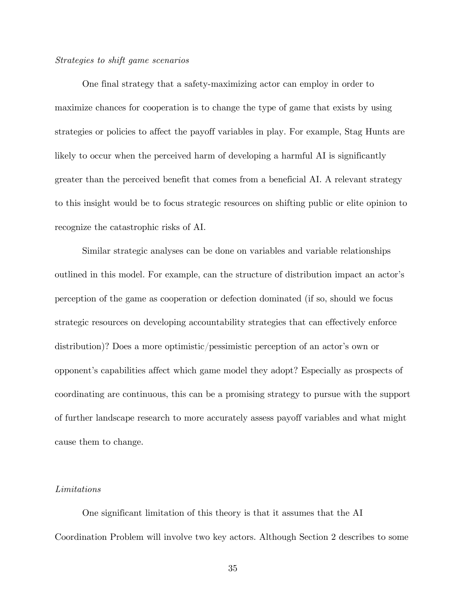#### *Strategies to shift game scenarios*

One final strategy that a safety-maximizing actor can employ in order to maximize chances for cooperation is to change the type of game that exists by using strategies or policies to affect the payoff variables in play. For example, Stag Hunts are likely to occur when the perceived harm of developing a harmful AI is significantly greater than the perceived benefit that comes from a beneficial AI. A relevant strategy to this insight would be to focus strategic resources on shifting public or elite opinion to recognize the catastrophic risks of AI.

Similar strategic analyses can be done on variables and variable relationships outlined in this model. For example, can the structure of distribution impact an actor's perception of the game as cooperation or defection dominated (if so, should we focus strategic resources on developing accountability strategies that can effectively enforce distribution)? Does a more optimistic/pessimistic perception of an actor's own or opponent's capabilities affect which game model they adopt? Especially as prospects of coordinating are continuous, this can be a promising strategy to pursue with the support of further landscape research to more accurately assess payoff variables and what might cause them to change.

#### *Limitations*

One significant limitation of this theory is that it assumes that the AI Coordination Problem will involve two key actors. Although Section 2 describes to some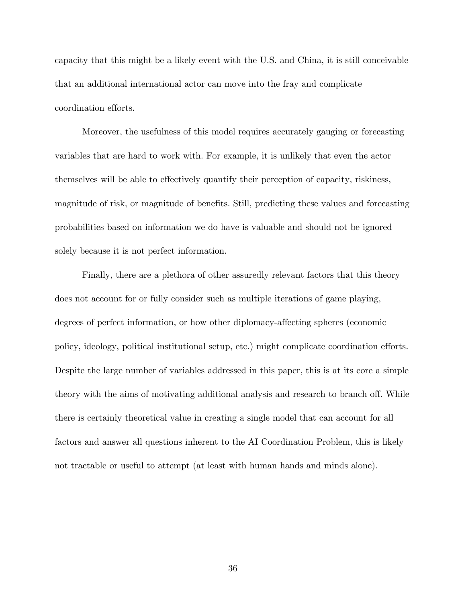capacity that this might be a likely event with the U.S. and China, it is still conceivable that an additional international actor can move into the fray and complicate coordination efforts.

Moreover, the usefulness of this model requires accurately gauging or forecasting variables that are hard to work with. For example, it is unlikely that even the actor themselves will be able to effectively quantify their perception of capacity, riskiness, magnitude of risk, or magnitude of benefits. Still, predicting these values and forecasting probabilities based on information we do have is valuable and should not be ignored solely because it is not perfect information.

Finally, there are a plethora of other assuredly relevant factors that this theory does not account for or fully consider such as multiple iterations of game playing, degrees of perfect information, or how other diplomacy-affecting spheres (economic policy, ideology, political institutional setup, etc.) might complicate coordination efforts. Despite the large number of variables addressed in this paper, this is at its core a simple theory with the aims of motivating additional analysis and research to branch off. While there is certainly theoretical value in creating a single model that can account for all factors and answer all questions inherent to the AI Coordination Problem, this is likely not tractable or useful to attempt (at least with human hands and minds alone).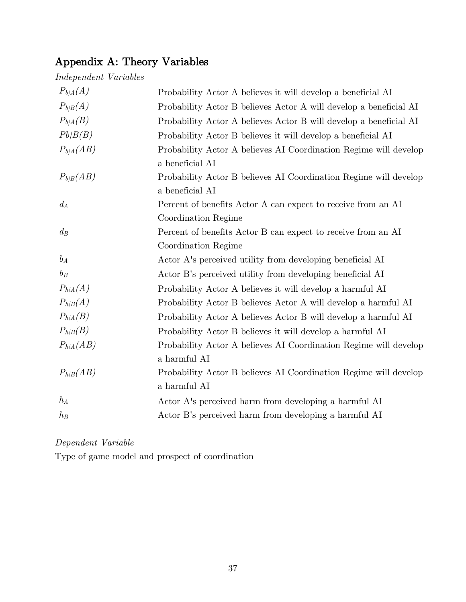# Appendix A: Theory Variables

| Independent Variables |  |
|-----------------------|--|
|-----------------------|--|

| $P_{b/A}(A)$  |                                                                   |
|---------------|-------------------------------------------------------------------|
|               | Probability Actor A believes it will develop a beneficial AI      |
| $P_{b/B}(A)$  | Probability Actor B believes Actor A will develop a beneficial AI |
| $P_{b/A}(B)$  | Probability Actor A believes Actor B will develop a beneficial AI |
| Pb/B(B)       | Probability Actor B believes it will develop a beneficial AI      |
| $P_{b/A}(AB)$ | Probability Actor A believes AI Coordination Regime will develop  |
|               | a beneficial AI                                                   |
| $P_{b/B}(AB)$ | Probability Actor B believes AI Coordination Regime will develop  |
|               | a beneficial AI                                                   |
| $d_A$         | Percent of benefits Actor A can expect to receive from an AI      |
|               | Coordination Regime                                               |
| $d_B$         | Percent of benefits Actor B can expect to receive from an AI      |
|               | Coordination Regime                                               |
| $b_A$         | Actor A's perceived utility from developing beneficial AI         |
| $b_B$         | Actor B's perceived utility from developing beneficial AI         |
| $P_{h/A}(A)$  | Probability Actor A believes it will develop a harmful AI         |
| $P_{h/B}(A)$  | Probability Actor B believes Actor A will develop a harmful AI    |
| $P_{h/A}(B)$  | Probability Actor A believes Actor B will develop a harmful AI    |
| $P_{h/B}(B)$  | Probability Actor B believes it will develop a harmful AI         |
| $P_{h/A}(AB)$ | Probability Actor A believes AI Coordination Regime will develop  |
|               | a harmful AI                                                      |
| $P_{h/B}(AB)$ | Probability Actor B believes AI Coordination Regime will develop  |
|               | a harmful AI                                                      |
| $h_A$         | Actor A's perceived harm from developing a harmful AI             |
| $h_B$         | Actor B's perceived harm from developing a harmful AI             |

*Dependent Variable*

Type of game model and prospect of coordination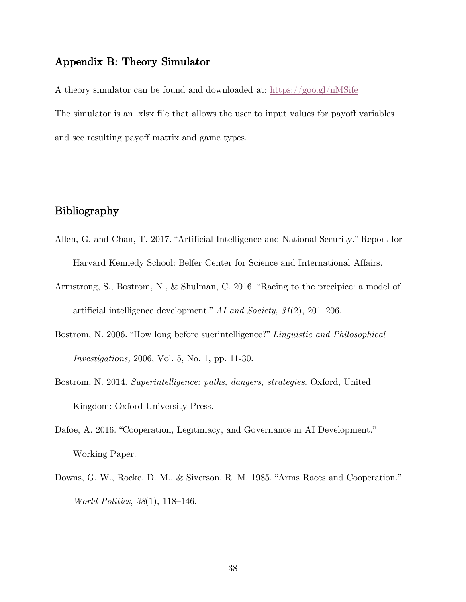## Appendix B: Theory Simulator

A theory simulator can be found and downloaded at: https://goo.gl/nMSife The simulator is an .xlsx file that allows the user to input values for payoff variables and see resulting payoff matrix and game types.

## Bibliography

- Allen, G. and Chan, T. 2017. "Artificial Intelligence and National Security." Report for Harvard Kennedy School: Belfer Center for Science and International Affairs.
- Armstrong, S., Bostrom, N., & Shulman, C. 2016. "Racing to the precipice: a model of artificial intelligence development." *AI and Society*, *31*(2), 201–206.
- Bostrom, N. 2006. "How long before suerintelligence?" *Linguistic and Philosophical Investigations,* 2006, Vol. 5, No. 1, pp. 11-30.
- Bostrom, N. 2014. *Superintelligence: paths, dangers, strategies.* Oxford, United Kingdom: Oxford University Press.
- Dafoe, A. 2016. "Cooperation, Legitimacy, and Governance in AI Development." Working Paper.
- Downs, G. W., Rocke, D. M., & Siverson, R. M. 1985. "Arms Races and Cooperation." *World Politics*, *38*(1), 118–146.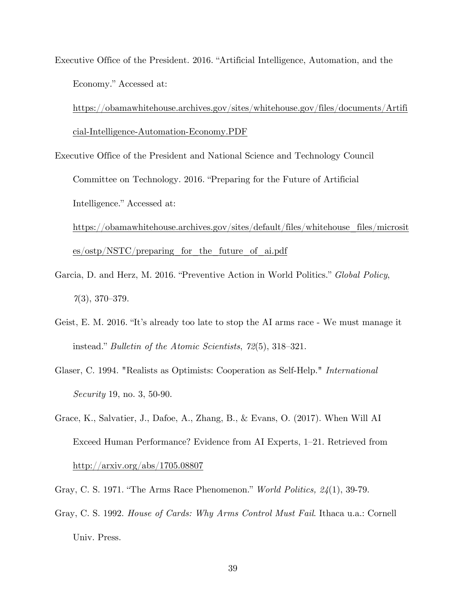Executive Office of the President. 2016. "Artificial Intelligence, Automation, and the Economy." Accessed at:

https://obamawhitehouse.archives.gov/sites/whitehouse.gov/files/documents/Artifi cial-Intelligence-Automation-Economy.PDF

Executive Office of the President and National Science and Technology Council

Committee on Technology. 2016. "Preparing for the Future of Artificial Intelligence." Accessed at:

https://obamawhitehouse.archives.gov/sites/default/files/whitehouse\_files/microsit  $es/ostp/NSTC/preparing$  for the future of ai.pdf

- Garcia, D. and Herz, M. 2016. "Preventive Action in World Politics." *Global Policy*, *7*(3), 370–379.
- Geist, E. M. 2016. "It's already too late to stop the AI arms race We must manage it instead." *Bulletin of the Atomic Scientists*, *72*(5), 318–321.
- Glaser, C. 1994. "Realists as Optimists: Cooperation as Self-Help." *International Security* 19, no. 3, 50-90.
- Grace, K., Salvatier, J., Dafoe, A., Zhang, B., & Evans, O. (2017). When Will AI Exceed Human Performance? Evidence from AI Experts, 1–21. Retrieved from http://arxiv.org/abs/1705.08807
- Gray, C. S. 1971. "The Arms Race Phenomenon." *World Politics, 24*(1), 39-79.
- Gray, C. S. 1992. *House of Cards: Why Arms Control Must Fail*. Ithaca u.a.: Cornell Univ. Press.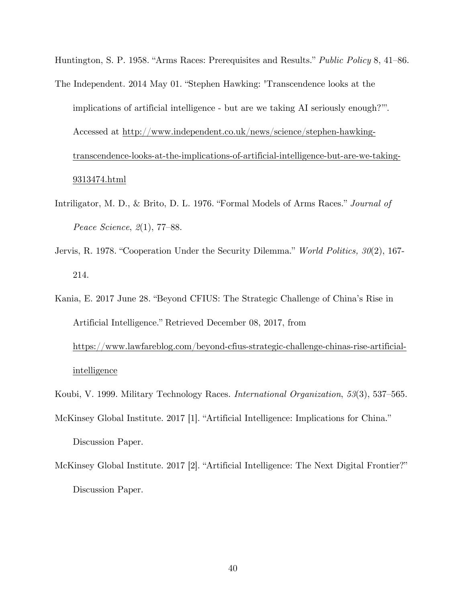Huntington, S. P. 1958. "Arms Races: Prerequisites and Results." *Public Policy* 8, 41–86.

- The Independent. 2014 May 01. "Stephen Hawking: 'Transcendence looks at the implications of artificial intelligence - but are we taking AI seriously enough?'". Accessed at http://www.independent.co.uk/news/science/stephen-hawkingtranscendence-looks-at-the-implications-of-artificial-intelligence-but-are-we-taking-9313474.html
- Intriligator, M. D., & Brito, D. L. 1976. "Formal Models of Arms Races." *Journal of Peace Science*, *2*(1), 77–88.
- Jervis, R. 1978. "Cooperation Under the Security Dilemma." *World Politics, 30*(2), 167- 214.
- Kania, E. 2017 June 28. "Beyond CFIUS: The Strategic Challenge of China's Rise in Artificial Intelligence." Retrieved December 08, 2017, from

https://www.lawfareblog.com/beyond-cfius-strategic-challenge-chinas-rise-artificialintelligence

- Koubi, V. 1999. Military Technology Races. *International Organization*, *53*(3), 537–565.
- McKinsey Global Institute. 2017 [1]. "Artificial Intelligence: Implications for China." Discussion Paper.
- McKinsey Global Institute. 2017 [2]. "Artificial Intelligence: The Next Digital Frontier?" Discussion Paper.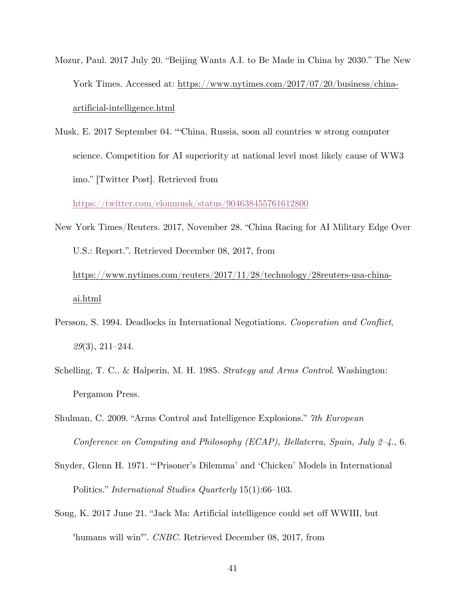- Mozur, Paul. 2017 July 20. "Beijing Wants A.I. to Be Made in China by 2030." The New York Times. Accessed at: https://www.nytimes.com/2017/07/20/business/chinaartificial-intelligence.html
- Musk, E. 2017 September 04. ""China, Russia, soon all countries w strong computer science. Competition for AI superiority at national level most likely cause of WW3 imo." [Twitter Post]. Retrieved from

https://twitter.com/elonmusk/status/904638455761612800

- New York Times/Reuters. 2017, November 28. "China Racing for AI Military Edge Over U.S.: Report.". Retrieved December 08, 2017, from https://www.nytimes.com/reuters/2017/11/28/technology/28reuters-usa-chinaai.html
- Persson, S. 1994. Deadlocks in International Negotiations. *Cooperation and Conflict*, *29*(3), 211–244.
- Schelling, T. C., & Halperin, M. H. 1985. *Strategy and Arms Control*. Washington: Pergamon Press.
- Shulman, C. 2009. "Arms Control and Intelligence Explosions." *7th European Conference on Computing and Philosophy (ECAP), Bellaterra, Spain, July 2–4.*, 6.
- Snyder, Glenn H. 1971. "'Prisoner's Dilemma' and 'Chicken' Models in International Politics." *International Studies Quarterly* 15(1):66–103.
- Song, K. 2017 June 21. "Jack Ma: Artificial intelligence could set off WWIII, but 'humans will win'". *CNBC*. Retrieved December 08, 2017, from